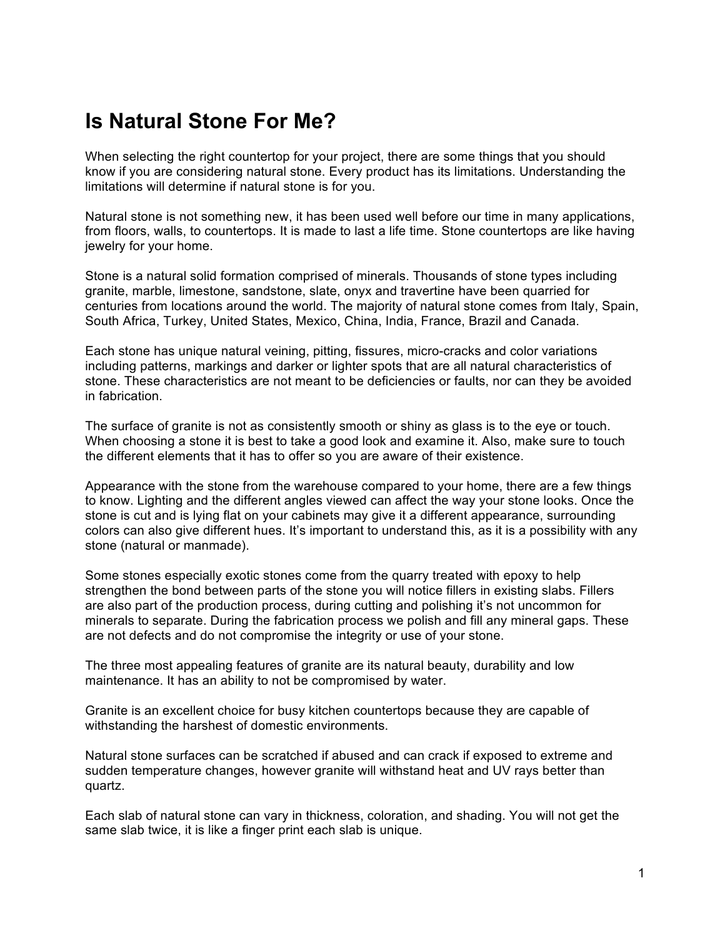## **Is Natural Stone For Me?**

When selecting the right countertop for your project, there are some things that you should know if you are considering natural stone. Every product has its limitations. Understanding the limitations will determine if natural stone is for you.

Natural stone is not something new, it has been used well before our time in many applications, from floors, walls, to countertops. It is made to last a life time. Stone countertops are like having jewelry for your home.

Stone is a natural solid formation comprised of minerals. Thousands of stone types including granite, marble, limestone, sandstone, slate, onyx and travertine have been quarried for centuries from locations around the world. The majority of natural stone comes from Italy, Spain, South Africa, Turkey, United States, Mexico, China, India, France, Brazil and Canada.

Each stone has unique natural veining, pitting, fissures, micro-cracks and color variations including patterns, markings and darker or lighter spots that are all natural characteristics of stone. These characteristics are not meant to be deficiencies or faults, nor can they be avoided in fabrication.

The surface of granite is not as consistently smooth or shiny as glass is to the eye or touch. When choosing a stone it is best to take a good look and examine it. Also, make sure to touch the different elements that it has to offer so you are aware of their existence.

Appearance with the stone from the warehouse compared to your home, there are a few things to know. Lighting and the different angles viewed can affect the way your stone looks. Once the stone is cut and is lying flat on your cabinets may give it a different appearance, surrounding colors can also give different hues. It's important to understand this, as it is a possibility with any stone (natural or manmade).

Some stones especially exotic stones come from the quarry treated with epoxy to help strengthen the bond between parts of the stone you will notice fillers in existing slabs. Fillers are also part of the production process, during cutting and polishing it's not uncommon for minerals to separate. During the fabrication process we polish and fill any mineral gaps. These are not defects and do not compromise the integrity or use of your stone.

The three most appealing features of granite are its natural beauty, durability and low maintenance. It has an ability to not be compromised by water.

Granite is an excellent choice for busy kitchen countertops because they are capable of withstanding the harshest of domestic environments.

Natural stone surfaces can be scratched if abused and can crack if exposed to extreme and sudden temperature changes, however granite will withstand heat and UV rays better than quartz.

Each slab of natural stone can vary in thickness, coloration, and shading. You will not get the same slab twice, it is like a finger print each slab is unique.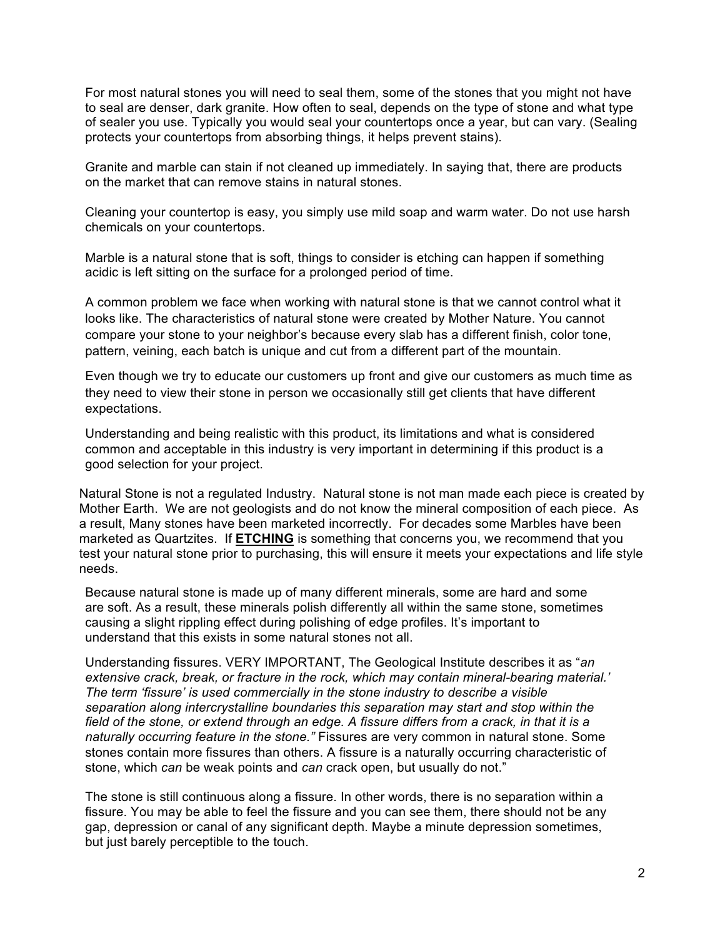For most natural stones you will need to seal them, some of the stones that you might not have to seal are denser, dark granite. How often to seal, depends on the type of stone and what type of sealer you use. Typically you would seal your countertops once a year, but can vary. (Sealing protects your countertops from absorbing things, it helps prevent stains).

Granite and marble can stain if not cleaned up immediately. In saying that, there are products on the market that can remove stains in natural stones.

Cleaning your countertop is easy, you simply use mild soap and warm water. Do not use harsh chemicals on your countertops.

Marble is a natural stone that is soft, things to consider is etching can happen if something acidic is left sitting on the surface for a prolonged period of time.

A common problem we face when working with natural stone is that we cannot control what it looks like. The characteristics of natural stone were created by Mother Nature. You cannot compare your stone to your neighbor's because every slab has a different finish, color tone, pattern, veining, each batch is unique and cut from a different part of the mountain.

Even though we try to educate our customers up front and give our customers as much time as they need to view their stone in person we occasionally still get clients that have different expectations.

Understanding and being realistic with this product, its limitations and what is considered common and acceptable in this industry is very important in determining if this product is a good selection for your project.

Natural Stone is not a regulated Industry. Natural stone is not man made each piece is created by Mother Earth. We are not geologists and do not know the mineral composition of each piece. As a result, Many stones have been marketed incorrectly. For decades some Marbles have been marketed as Quartzites. If **ETCHING** is something that concerns you, we recommend that you test your natural stone prior to purchasing, this will ensure it meets your expectations and life style needs.

Because natural stone is made up of many different minerals, some are hard and some are soft. As a result, these minerals polish differently all within the same stone, sometimes causing a slight rippling effect during polishing of edge profiles. It's important to understand that this exists in some natural stones not all.

Understanding fissures. VERY IMPORTANT, The Geological Institute describes it as "*an extensive crack, break, or fracture in the rock, which may contain mineral-bearing material.' The term 'fissure' is used commercially in the stone industry to describe a visible separation along intercrystalline boundaries this separation may start and stop within the field of the stone, or extend through an edge. A fissure differs from a crack, in that it is a naturally occurring feature in the stone."* Fissures are very common in natural stone. Some stones contain more fissures than others. A fissure is a naturally occurring characteristic of stone, which *can* be weak points and *can* crack open, but usually do not."

The stone is still continuous along a fissure. In other words, there is no separation within a fissure. You may be able to feel the fissure and you can see them, there should not be any gap, depression or canal of any significant depth. Maybe a minute depression sometimes, but just barely perceptible to the touch.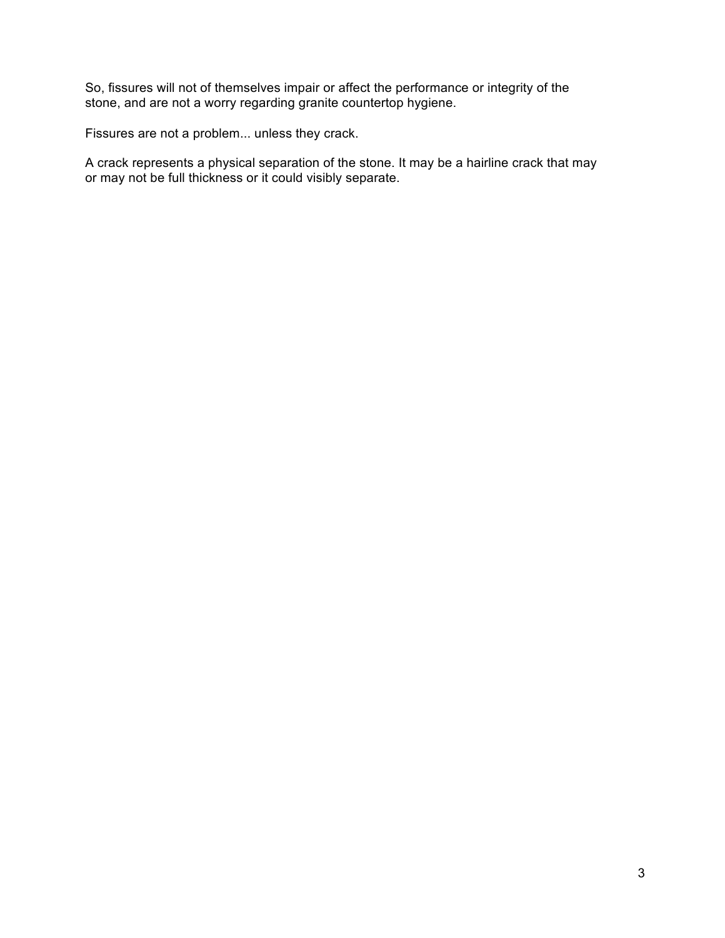So, fissures will not of themselves impair or affect the performance or integrity of the stone, and are not a worry regarding granite countertop hygiene.

Fissures are not a problem... unless they crack.

A crack represents a physical separation of the stone. It may be a hairline crack that may or may not be full thickness or it could visibly separate.